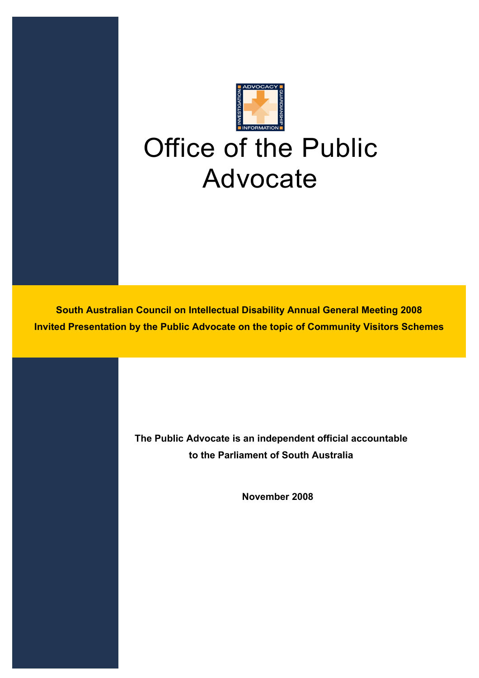

**South Australian Council on Intellectual Disability Annual General Meeting 2008 Invited Presentation by the Public Advocate on the topic of Community Visitors Schemes** 

> **The Public Advocate is an independent official accountable to the Parliament of South Australia**

> > **November 2008**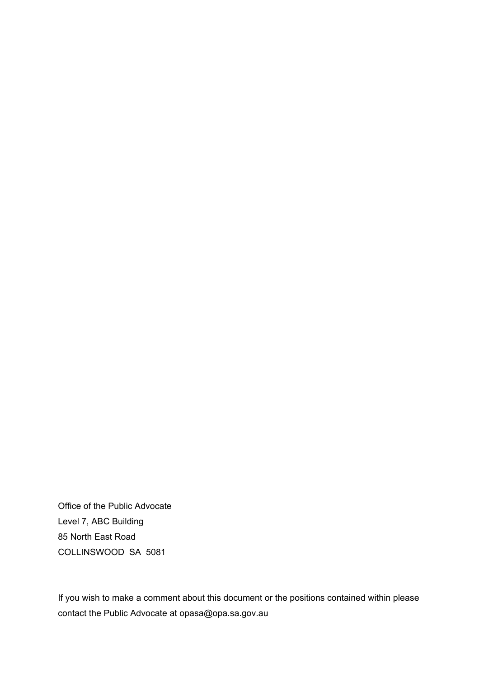Office of the Public Advocate Level 7, ABC Building 85 North East Road COLLINSWOOD SA 5081

If you wish to make a comment about this document or the positions contained within please contact the Public Advocate at opasa@opa.sa.gov.au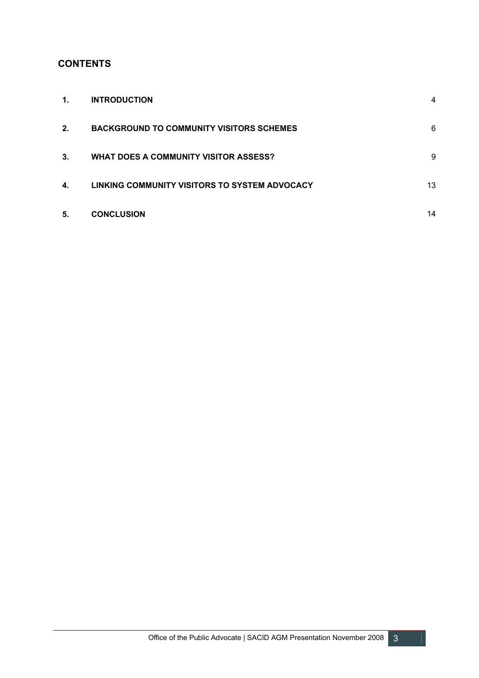# **CONTENTS**

| 1. | <b>INTRODUCTION</b>                             | $\overline{4}$ |
|----|-------------------------------------------------|----------------|
| 2. | <b>BACKGROUND TO COMMUNITY VISITORS SCHEMES</b> | 6              |
| 3. | WHAT DOES A COMMUNITY VISITOR ASSESS?           | 9              |
| 4. | LINKING COMMUNITY VISITORS TO SYSTEM ADVOCACY   | 13             |
| 5. | <b>CONCLUSION</b>                               | 14             |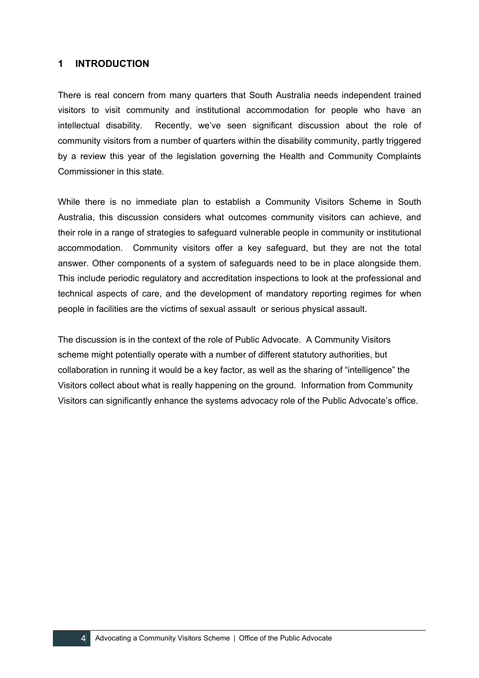### **1 INTRODUCTION**

There is real concern from many quarters that South Australia needs independent trained visitors to visit community and institutional accommodation for people who have an intellectual disability. Recently, we've seen significant discussion about the role of community visitors from a number of quarters within the disability community, partly triggered by a review this year of the legislation governing the Health and Community Complaints Commissioner in this state.

While there is no immediate plan to establish a Community Visitors Scheme in South Australia, this discussion considers what outcomes community visitors can achieve, and their role in a range of strategies to safeguard vulnerable people in community or institutional accommodation. Community visitors offer a key safeguard, but they are not the total answer. Other components of a system of safeguards need to be in place alongside them. This include periodic regulatory and accreditation inspections to look at the professional and technical aspects of care, and the development of mandatory reporting regimes for when people in facilities are the victims of sexual assault or serious physical assault.

The discussion is in the context of the role of Public Advocate. A Community Visitors scheme might potentially operate with a number of different statutory authorities, but collaboration in running it would be a key factor, as well as the sharing of "intelligence" the Visitors collect about what is really happening on the ground. Information from Community Visitors can significantly enhance the systems advocacy role of the Public Advocate's office.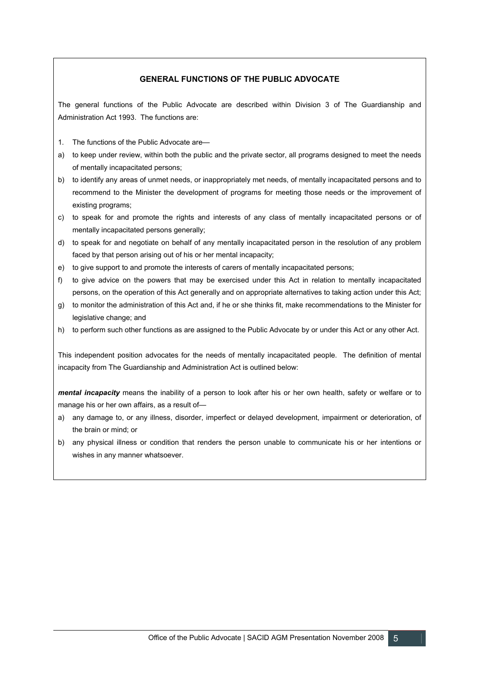#### **GENERAL FUNCTIONS OF THE PUBLIC ADVOCATE**

The general functions of the Public Advocate are described within Division 3 of The Guardianship and Administration Act 1993. The functions are:

- 1. The functions of the Public Advocate are—
- a) to keep under review, within both the public and the private sector, all programs designed to meet the needs of mentally incapacitated persons;
- b) to identify any areas of unmet needs, or inappropriately met needs, of mentally incapacitated persons and to recommend to the Minister the development of programs for meeting those needs or the improvement of existing programs;
- c) to speak for and promote the rights and interests of any class of mentally incapacitated persons or of mentally incapacitated persons generally;
- d) to speak for and negotiate on behalf of any mentally incapacitated person in the resolution of any problem faced by that person arising out of his or her mental incapacity;
- e) to give support to and promote the interests of carers of mentally incapacitated persons;
- f) to give advice on the powers that may be exercised under this Act in relation to mentally incapacitated persons, on the operation of this Act generally and on appropriate alternatives to taking action under this Act;
- g) to monitor the administration of this Act and, if he or she thinks fit, make recommendations to the Minister for legislative change; and
- h) to perform such other functions as are assigned to the Public Advocate by or under this Act or any other Act.

This independent position advocates for the needs of mentally incapacitated people. The definition of mental incapacity from The Guardianship and Administration Act is outlined below:

*mental incapacity* means the inability of a person to look after his or her own health, safety or welfare or to manage his or her own affairs, as a result of—

- a) any damage to, or any illness, disorder, imperfect or delayed development, impairment or deterioration, of the brain or mind; or
- b) any physical illness or condition that renders the person unable to communicate his or her intentions or wishes in any manner whatsoever.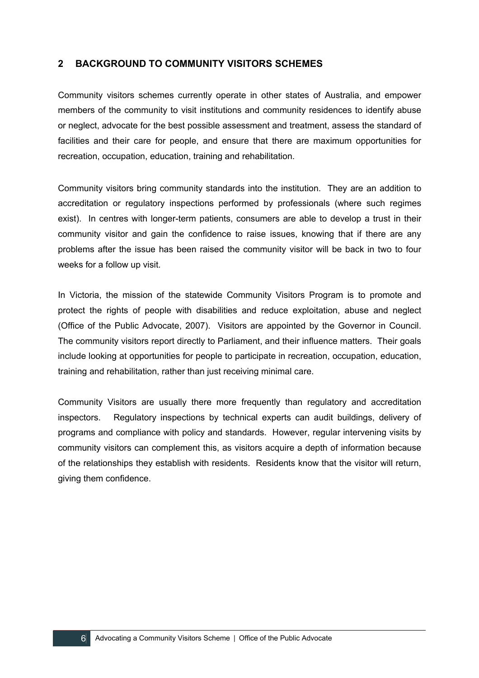## **2 BACKGROUND TO COMMUNITY VISITORS SCHEMES**

Community visitors schemes currently operate in other states of Australia, and empower members of the community to visit institutions and community residences to identify abuse or neglect, advocate for the best possible assessment and treatment, assess the standard of facilities and their care for people, and ensure that there are maximum opportunities for recreation, occupation, education, training and rehabilitation.

Community visitors bring community standards into the institution. They are an addition to accreditation or regulatory inspections performed by professionals (where such regimes exist). In centres with longer-term patients, consumers are able to develop a trust in their community visitor and gain the confidence to raise issues, knowing that if there are any problems after the issue has been raised the community visitor will be back in two to four weeks for a follow up visit.

In Victoria, the mission of the statewide Community Visitors Program is to promote and protect the rights of people with disabilities and reduce exploitation, abuse and neglect (Office of the Public Advocate, 2007). Visitors are appointed by the Governor in Council. The community visitors report directly to Parliament, and their influence matters. Their goals include looking at opportunities for people to participate in recreation, occupation, education, training and rehabilitation, rather than just receiving minimal care.

Community Visitors are usually there more frequently than regulatory and accreditation inspectors. Regulatory inspections by technical experts can audit buildings, delivery of programs and compliance with policy and standards. However, regular intervening visits by community visitors can complement this, as visitors acquire a depth of information because of the relationships they establish with residents. Residents know that the visitor will return, giving them confidence.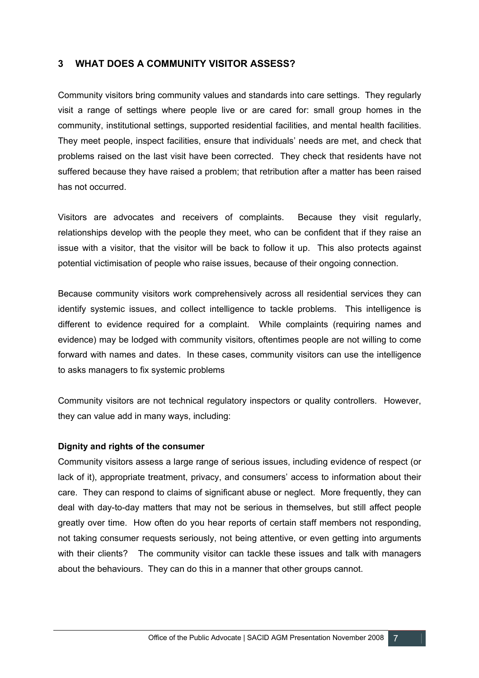# **3 WHAT DOES A COMMUNITY VISITOR ASSESS?**

Community visitors bring community values and standards into care settings. They regularly visit a range of settings where people live or are cared for: small group homes in the community, institutional settings, supported residential facilities, and mental health facilities. They meet people, inspect facilities, ensure that individuals' needs are met, and check that problems raised on the last visit have been corrected. They check that residents have not suffered because they have raised a problem; that retribution after a matter has been raised has not occurred.

Visitors are advocates and receivers of complaints. Because they visit regularly, relationships develop with the people they meet, who can be confident that if they raise an issue with a visitor, that the visitor will be back to follow it up. This also protects against potential victimisation of people who raise issues, because of their ongoing connection.

Because community visitors work comprehensively across all residential services they can identify systemic issues, and collect intelligence to tackle problems. This intelligence is different to evidence required for a complaint. While complaints (requiring names and evidence) may be lodged with community visitors, oftentimes people are not willing to come forward with names and dates. In these cases, community visitors can use the intelligence to asks managers to fix systemic problems

Community visitors are not technical regulatory inspectors or quality controllers. However, they can value add in many ways, including:

## **Dignity and rights of the consumer**

Community visitors assess a large range of serious issues, including evidence of respect (or lack of it), appropriate treatment, privacy, and consumers' access to information about their care. They can respond to claims of significant abuse or neglect. More frequently, they can deal with day-to-day matters that may not be serious in themselves, but still affect people greatly over time. How often do you hear reports of certain staff members not responding, not taking consumer requests seriously, not being attentive, or even getting into arguments with their clients? The community visitor can tackle these issues and talk with managers about the behaviours. They can do this in a manner that other groups cannot.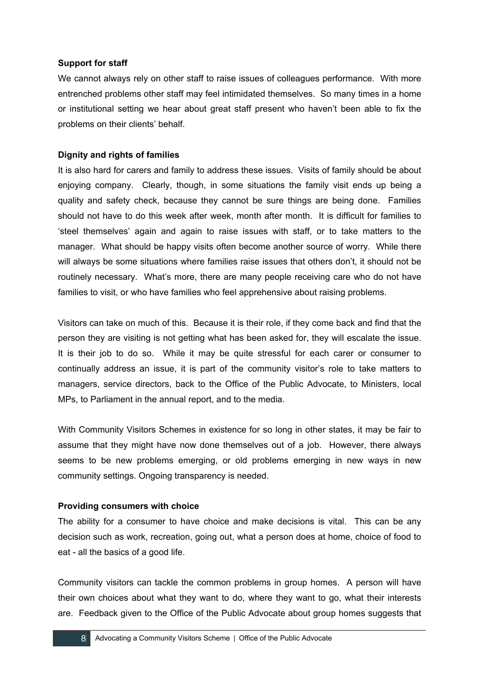### **Support for staff**

We cannot always rely on other staff to raise issues of colleagues performance. With more entrenched problems other staff may feel intimidated themselves. So many times in a home or institutional setting we hear about great staff present who haven't been able to fix the problems on their clients' behalf.

### **Dignity and rights of families**

It is also hard for carers and family to address these issues. Visits of family should be about enjoying company. Clearly, though, in some situations the family visit ends up being a quality and safety check, because they cannot be sure things are being done. Families should not have to do this week after week, month after month. It is difficult for families to 'steel themselves' again and again to raise issues with staff, or to take matters to the manager. What should be happy visits often become another source of worry. While there will always be some situations where families raise issues that others don't, it should not be routinely necessary. What's more, there are many people receiving care who do not have families to visit, or who have families who feel apprehensive about raising problems.

Visitors can take on much of this. Because it is their role, if they come back and find that the person they are visiting is not getting what has been asked for, they will escalate the issue. It is their job to do so. While it may be quite stressful for each carer or consumer to continually address an issue, it is part of the community visitor's role to take matters to managers, service directors, back to the Office of the Public Advocate, to Ministers, local MPs, to Parliament in the annual report, and to the media.

With Community Visitors Schemes in existence for so long in other states, it may be fair to assume that they might have now done themselves out of a job. However, there always seems to be new problems emerging, or old problems emerging in new ways in new community settings. Ongoing transparency is needed.

#### **Providing consumers with choice**

The ability for a consumer to have choice and make decisions is vital. This can be any decision such as work, recreation, going out, what a person does at home, choice of food to eat - all the basics of a good life.

Community visitors can tackle the common problems in group homes. A person will have their own choices about what they want to do, where they want to go, what their interests are. Feedback given to the Office of the Public Advocate about group homes suggests that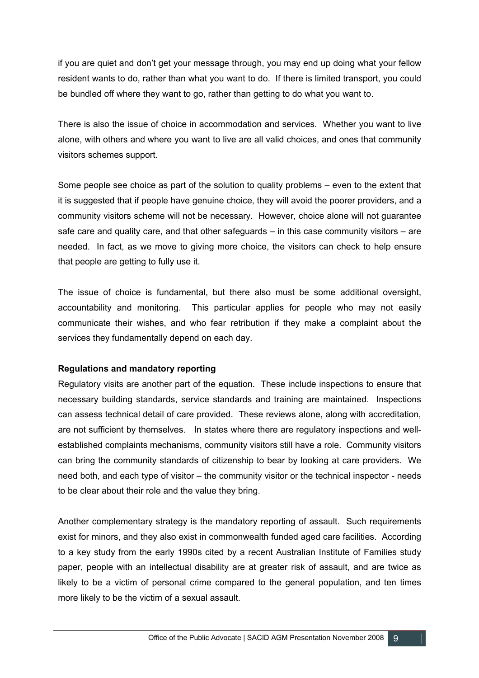if you are quiet and don't get your message through, you may end up doing what your fellow resident wants to do, rather than what you want to do. If there is limited transport, you could be bundled off where they want to go, rather than getting to do what you want to.

There is also the issue of choice in accommodation and services. Whether you want to live alone, with others and where you want to live are all valid choices, and ones that community visitors schemes support.

Some people see choice as part of the solution to quality problems – even to the extent that it is suggested that if people have genuine choice, they will avoid the poorer providers, and a community visitors scheme will not be necessary. However, choice alone will not guarantee safe care and quality care, and that other safeguards – in this case community visitors – are needed. In fact, as we move to giving more choice, the visitors can check to help ensure that people are getting to fully use it.

The issue of choice is fundamental, but there also must be some additional oversight, accountability and monitoring. This particular applies for people who may not easily communicate their wishes, and who fear retribution if they make a complaint about the services they fundamentally depend on each day.

## **Regulations and mandatory reporting**

Regulatory visits are another part of the equation. These include inspections to ensure that necessary building standards, service standards and training are maintained. Inspections can assess technical detail of care provided. These reviews alone, along with accreditation, are not sufficient by themselves. In states where there are regulatory inspections and wellestablished complaints mechanisms, community visitors still have a role. Community visitors can bring the community standards of citizenship to bear by looking at care providers. We need both, and each type of visitor – the community visitor or the technical inspector - needs to be clear about their role and the value they bring.

Another complementary strategy is the mandatory reporting of assault. Such requirements exist for minors, and they also exist in commonwealth funded aged care facilities. According to a key study from the early 1990s cited by a recent Australian Institute of Families study paper, people with an intellectual disability are at greater risk of assault, and are twice as likely to be a victim of personal crime compared to the general population, and ten times more likely to be the victim of a sexual assault.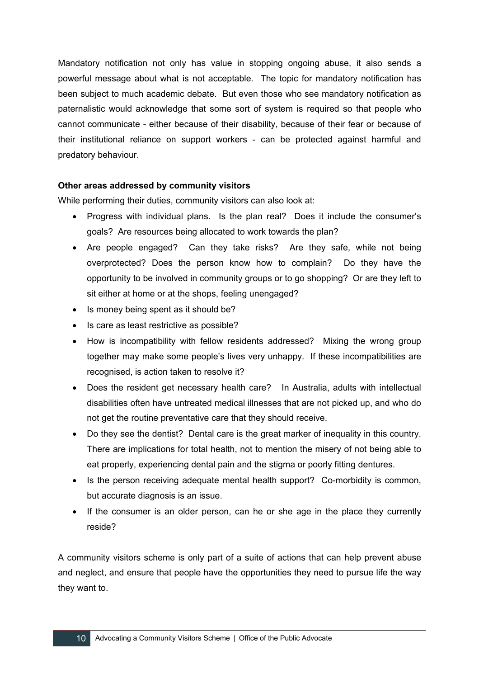Mandatory notification not only has value in stopping ongoing abuse, it also sends a powerful message about what is not acceptable. The topic for mandatory notification has been subject to much academic debate. But even those who see mandatory notification as paternalistic would acknowledge that some sort of system is required so that people who cannot communicate - either because of their disability, because of their fear or because of their institutional reliance on support workers - can be protected against harmful and predatory behaviour.

### **Other areas addressed by community visitors**

While performing their duties, community visitors can also look at:

- Progress with individual plans. Is the plan real? Does it include the consumer's goals? Are resources being allocated to work towards the plan?
- Are people engaged? Can they take risks? Are they safe, while not being overprotected? Does the person know how to complain? Do they have the opportunity to be involved in community groups or to go shopping? Or are they left to sit either at home or at the shops, feeling unengaged?
- Is money being spent as it should be?
- Is care as least restrictive as possible?
- How is incompatibility with fellow residents addressed? Mixing the wrong group together may make some people's lives very unhappy. If these incompatibilities are recognised, is action taken to resolve it?
- Does the resident get necessary health care? In Australia, adults with intellectual disabilities often have untreated medical illnesses that are not picked up, and who do not get the routine preventative care that they should receive.
- Do they see the dentist? Dental care is the great marker of inequality in this country. There are implications for total health, not to mention the misery of not being able to eat properly, experiencing dental pain and the stigma or poorly fitting dentures.
- Is the person receiving adequate mental health support? Co-morbidity is common, but accurate diagnosis is an issue.
- If the consumer is an older person, can he or she age in the place they currently reside?

A community visitors scheme is only part of a suite of actions that can help prevent abuse and neglect, and ensure that people have the opportunities they need to pursue life the way they want to.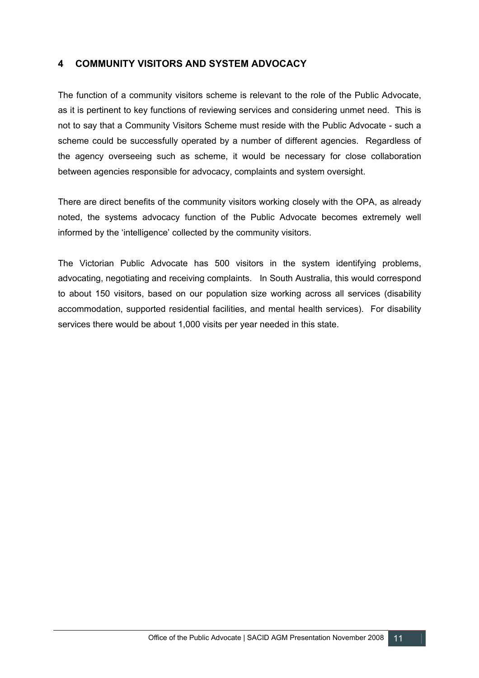# **4 COMMUNITY VISITORS AND SYSTEM ADVOCACY**

The function of a community visitors scheme is relevant to the role of the Public Advocate, as it is pertinent to key functions of reviewing services and considering unmet need. This is not to say that a Community Visitors Scheme must reside with the Public Advocate - such a scheme could be successfully operated by a number of different agencies. Regardless of the agency overseeing such as scheme, it would be necessary for close collaboration between agencies responsible for advocacy, complaints and system oversight.

There are direct benefits of the community visitors working closely with the OPA, as already noted, the systems advocacy function of the Public Advocate becomes extremely well informed by the 'intelligence' collected by the community visitors.

The Victorian Public Advocate has 500 visitors in the system identifying problems, advocating, negotiating and receiving complaints. In South Australia, this would correspond to about 150 visitors, based on our population size working across all services (disability accommodation, supported residential facilities, and mental health services). For disability services there would be about 1,000 visits per year needed in this state.